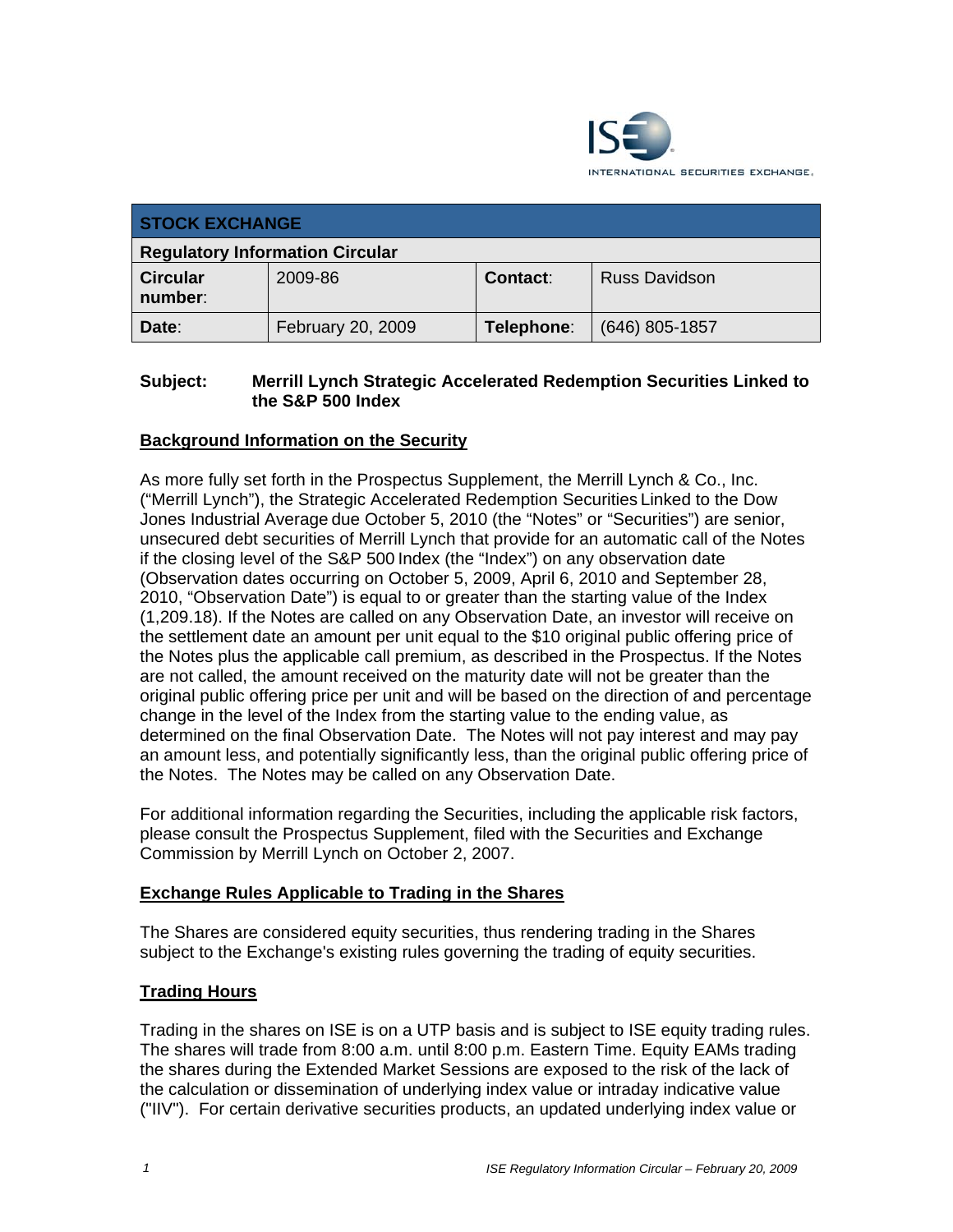

| <b>STOCK EXCHANGE</b>                  |                   |                 |                      |
|----------------------------------------|-------------------|-----------------|----------------------|
| <b>Regulatory Information Circular</b> |                   |                 |                      |
| <b>Circular</b><br>number:             | 2009-86           | <b>Contact:</b> | <b>Russ Davidson</b> |
| Date:                                  | February 20, 2009 | Telephone:      | (646) 805-1857       |

### **Subject: Merrill Lynch Strategic Accelerated Redemption Securities Linked to the S&P 500 Index**

## **Background Information on the Security**

As more fully set forth in the Prospectus Supplement, the Merrill Lynch & Co., Inc. ("Merrill Lynch"), the Strategic Accelerated Redemption Securities Linked to the Dow Jones Industrial Average due October 5, 2010 (the "Notes" or "Securities") are senior, unsecured debt securities of Merrill Lynch that provide for an automatic call of the Notes if the closing level of the S&P 500 Index (the "Index") on any observation date (Observation dates occurring on October 5, 2009, April 6, 2010 and September 28, 2010, "Observation Date") is equal to or greater than the starting value of the Index (1,209.18). If the Notes are called on any Observation Date, an investor will receive on the settlement date an amount per unit equal to the \$10 original public offering price of the Notes plus the applicable call premium, as described in the Prospectus. If the Notes are not called, the amount received on the maturity date will not be greater than the original public offering price per unit and will be based on the direction of and percentage change in the level of the Index from the starting value to the ending value, as determined on the final Observation Date. The Notes will not pay interest and may pay an amount less, and potentially significantly less, than the original public offering price of the Notes. The Notes may be called on any Observation Date.

For additional information regarding the Securities, including the applicable risk factors, please consult the Prospectus Supplement, filed with the Securities and Exchange Commission by Merrill Lynch on October 2, 2007.

#### **Exchange Rules Applicable to Trading in the Shares**

The Shares are considered equity securities, thus rendering trading in the Shares subject to the Exchange's existing rules governing the trading of equity securities.

#### **Trading Hours**

Trading in the shares on ISE is on a UTP basis and is subject to ISE equity trading rules. The shares will trade from 8:00 a.m. until 8:00 p.m. Eastern Time. Equity EAMs trading the shares during the Extended Market Sessions are exposed to the risk of the lack of the calculation or dissemination of underlying index value or intraday indicative value ("IIV"). For certain derivative securities products, an updated underlying index value or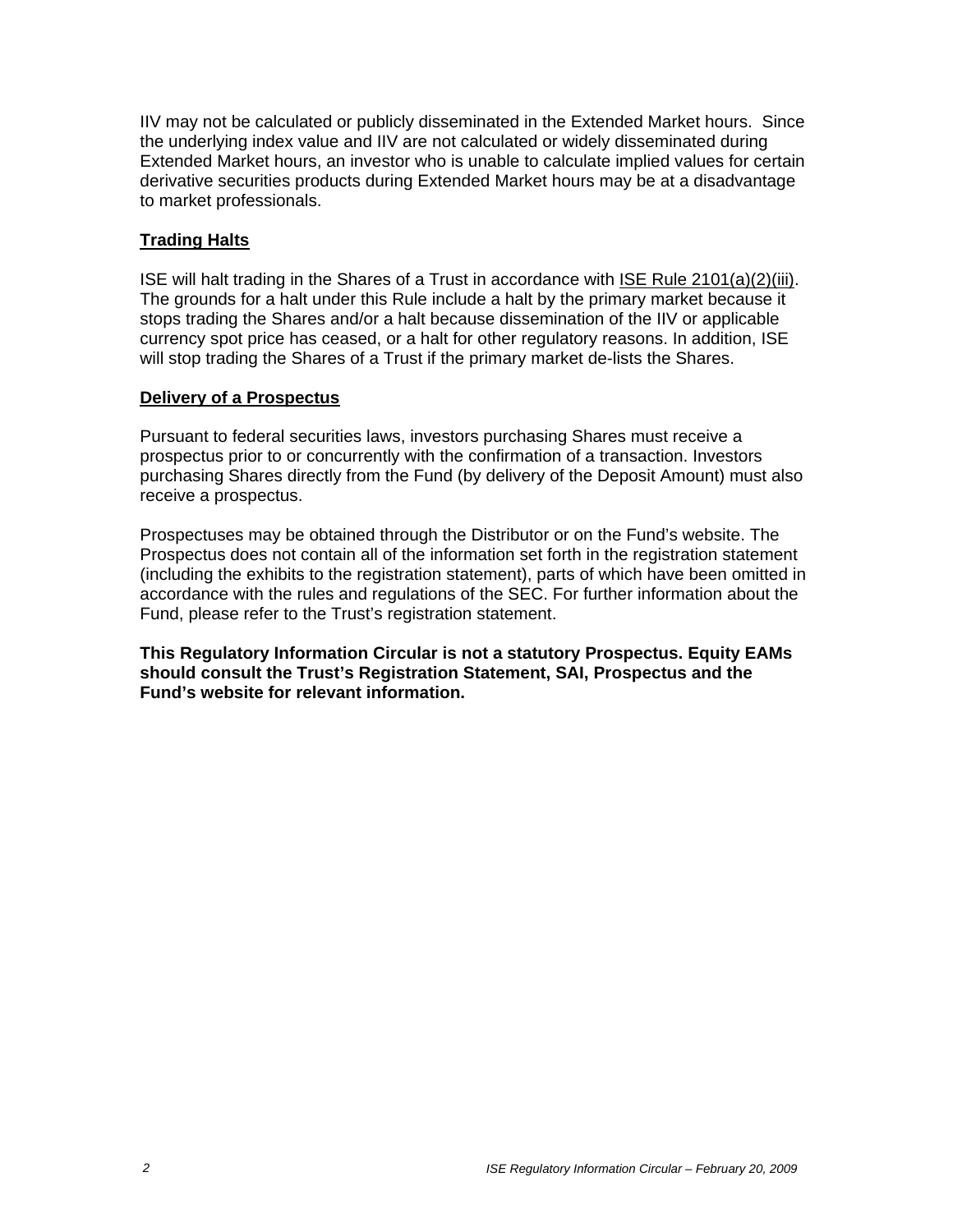IIV may not be calculated or publicly disseminated in the Extended Market hours. Since the underlying index value and IIV are not calculated or widely disseminated during Extended Market hours, an investor who is unable to calculate implied values for certain derivative securities products during Extended Market hours may be at a disadvantage to market professionals.

### **Trading Halts**

ISE will halt trading in the Shares of a Trust in accordance with ISE Rule 2101(a)(2)(iii). The grounds for a halt under this Rule include a halt by the primary market because it stops trading the Shares and/or a halt because dissemination of the IIV or applicable currency spot price has ceased, or a halt for other regulatory reasons. In addition, ISE will stop trading the Shares of a Trust if the primary market de-lists the Shares.

#### **Delivery of a Prospectus**

Pursuant to federal securities laws, investors purchasing Shares must receive a prospectus prior to or concurrently with the confirmation of a transaction. Investors purchasing Shares directly from the Fund (by delivery of the Deposit Amount) must also receive a prospectus.

Prospectuses may be obtained through the Distributor or on the Fund's website. The Prospectus does not contain all of the information set forth in the registration statement (including the exhibits to the registration statement), parts of which have been omitted in accordance with the rules and regulations of the SEC. For further information about the Fund, please refer to the Trust's registration statement.

**This Regulatory Information Circular is not a statutory Prospectus. Equity EAMs should consult the Trust's Registration Statement, SAI, Prospectus and the Fund's website for relevant information.**